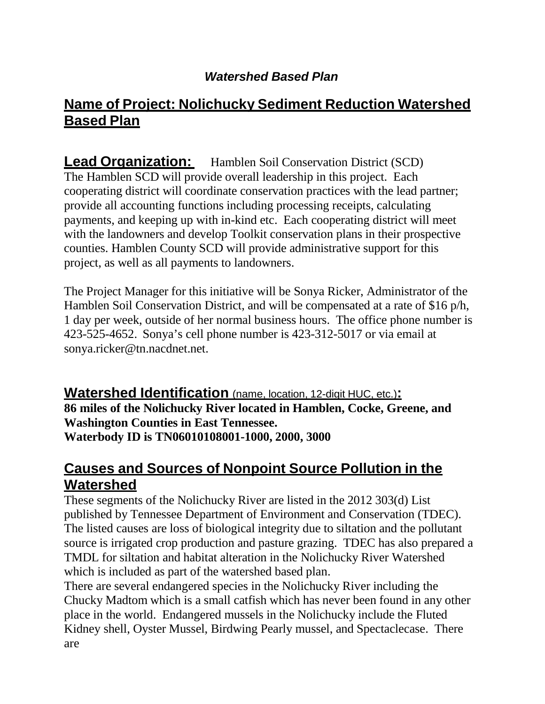#### *Watershed Based Plan*

# **Name of Project: Nolichucky Sediment Reduction Watershed Based Plan**

**Lead Organization:** Hamblen Soil Conservation District (SCD) The Hamblen SCD will provide overall leadership in this project. Each cooperating district will coordinate conservation practices with the lead partner; provide all accounting functions including processing receipts, calculating payments, and keeping up with in-kind etc. Each cooperating district will meet with the landowners and develop Toolkit conservation plans in their prospective counties. Hamblen County SCD will provide administrative support for this project, as well as all payments to landowners.

The Project Manager for this initiative will be Sonya Ricker, Administrator of the Hamblen Soil Conservation District, and will be compensated at a rate of \$16 p/h, 1 day per week, outside of her normal business hours. The office phone number is 423-525-4652. Sonya's cell phone number is 423-312-5017 or via email at [sonya.ricker@tn.nacdnet.net.](mailto:sonya.ricker@tn.nacdnet.net)

**Watershed Identification** (name, location, 12-digit HUC, etc.)**: 86 miles of the Nolichucky River located in Hamblen, Cocke, Greene, and Washington Counties in East Tennessee. Waterbody ID is TN06010108001-1000, 2000, 3000**

#### **Causes and Sources of Nonpoint Source Pollution in the Watershed**

These segments of the Nolichucky River are listed in the 2012 303(d) List published by Tennessee Department of Environment and Conservation (TDEC). The listed causes are loss of biological integrity due to siltation and the pollutant source is irrigated crop production and pasture grazing. TDEC has also prepared a TMDL for siltation and habitat alteration in the Nolichucky River Watershed which is included as part of the watershed based plan.

There are several endangered species in the Nolichucky River including the Chucky Madtom which is a small catfish which has never been found in any other place in the world. Endangered mussels in the Nolichucky include the Fluted Kidney shell, Oyster Mussel, Birdwing Pearly mussel, and Spectaclecase. There are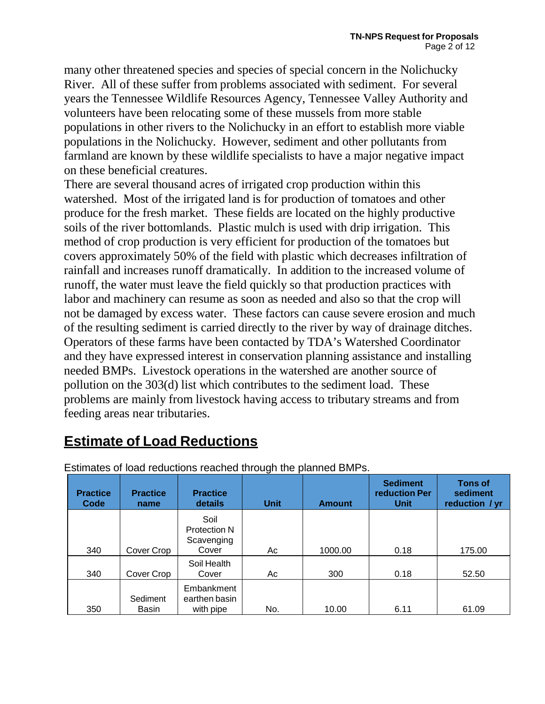many other threatened species and species of special concern in the Nolichucky River. All of these suffer from problems associated with sediment. For several years the Tennessee Wildlife Resources Agency, Tennessee Valley Authority and volunteers have been relocating some of these mussels from more stable populations in other rivers to the Nolichucky in an effort to establish more viable populations in the Nolichucky. However, sediment and other pollutants from farmland are known by these wildlife specialists to have a major negative impact on these beneficial creatures.

There are several thousand acres of irrigated crop production within this watershed. Most of the irrigated land is for production of tomatoes and other produce for the fresh market. These fields are located on the highly productive soils of the river bottomlands. Plastic mulch is used with drip irrigation. This method of crop production is very efficient for production of the tomatoes but covers approximately 50% of the field with plastic which decreases infiltration of rainfall and increases runoff dramatically. In addition to the increased volume of runoff, the water must leave the field quickly so that production practices with labor and machinery can resume as soon as needed and also so that the crop will not be damaged by excess water. These factors can cause severe erosion and much of the resulting sediment is carried directly to the river by way of drainage ditches. Operators of these farms have been contacted by TDA's Watershed Coordinator and they have expressed interest in conservation planning assistance and installing needed BMPs. Livestock operations in the watershed are another source of pollution on the 303(d) list which contributes to the sediment load. These problems are mainly from livestock having access to tributary streams and from feeding areas near tributaries.

# **Estimate of Load Reductions**

| <b>Practice</b><br>Code | <b>Practice</b><br>name | <b>Practice</b><br>details  | <b>Unit</b> | <b>Amount</b> | <b>Sediment</b><br>reduction Per<br><b>Unit</b> | <b>Tons of</b><br>sediment<br>reduction / yr |
|-------------------------|-------------------------|-----------------------------|-------------|---------------|-------------------------------------------------|----------------------------------------------|
|                         |                         | Soil                        |             |               |                                                 |                                              |
|                         |                         | <b>Protection N</b>         |             |               |                                                 |                                              |
|                         |                         | Scavenging                  |             |               |                                                 |                                              |
| 340                     | Cover Crop              | Cover                       | Ac          | 1000.00       | 0.18                                            | 175.00                                       |
|                         |                         | Soil Health                 |             |               |                                                 |                                              |
| 340                     | Cover Crop              | Cover                       | Ac          | 300           | 0.18                                            | 52.50                                        |
|                         | Sediment                | Embankment<br>earthen basin |             |               |                                                 |                                              |
| 350                     | <b>Basin</b>            | with pipe                   | No.         | 10.00         | 6.11                                            | 61.09                                        |

Estimates of load reductions reached through the planned BMPs.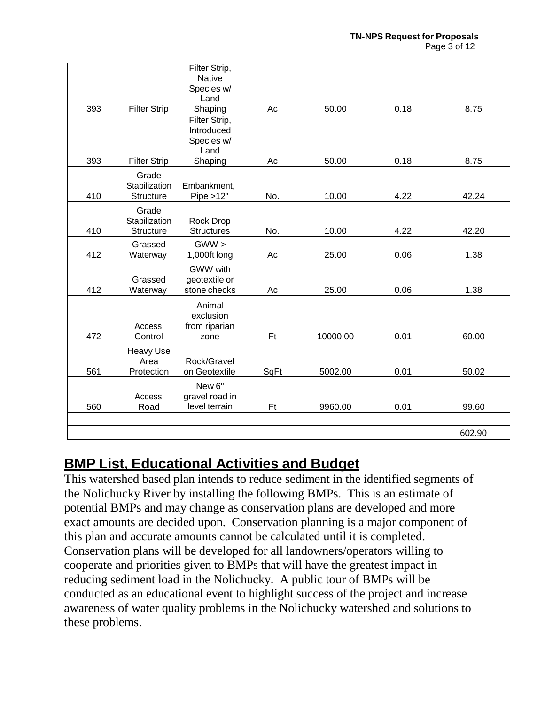|     |                                            | Filter Strip,<br><b>Native</b><br>Species w/<br>Land         |      |          |      |        |
|-----|--------------------------------------------|--------------------------------------------------------------|------|----------|------|--------|
| 393 | <b>Filter Strip</b>                        | Shaping                                                      | Ac   | 50.00    | 0.18 | 8.75   |
| 393 | <b>Filter Strip</b>                        | Filter Strip,<br>Introduced<br>Species w/<br>Land<br>Shaping | Ac   | 50.00    | 0.18 | 8.75   |
| 410 | Grade<br>Stabilization<br><b>Structure</b> | Embankment,<br>Pipe > 12"                                    | No.  | 10.00    | 4.22 | 42.24  |
| 410 | Grade<br>Stabilization<br>Structure        | Rock Drop<br><b>Structures</b>                               | No.  | 10.00    | 4.22 | 42.20  |
| 412 | Grassed<br>Waterway                        | $GWW$ ><br>1,000ft long                                      | Ac   | 25.00    | 0.06 | 1.38   |
| 412 | Grassed<br>Waterway                        | GWW with<br>geotextile or<br>stone checks                    | Ac   | 25.00    | 0.06 | 1.38   |
| 472 | Access<br>Control                          | Animal<br>exclusion<br>from riparian<br>zone                 | Ft   | 10000.00 | 0.01 | 60.00  |
| 561 | Heavy Use<br>Area<br>Protection            | Rock/Gravel<br>on Geotextile                                 | SqFt | 5002.00  | 0.01 | 50.02  |
| 560 | Access<br>Road                             | New 6"<br>gravel road in<br>level terrain                    | Ft   | 9960.00  | 0.01 | 99.60  |
|     |                                            |                                                              |      |          |      |        |
|     |                                            |                                                              |      |          |      | 602.90 |

# **BMP List, Educational Activities and Budget**

This watershed based plan intends to reduce sediment in the identified segments of the Nolichucky River by installing the following BMPs. This is an estimate of potential BMPs and may change as conservation plans are developed and more exact amounts are decided upon. Conservation planning is a major component of this plan and accurate amounts cannot be calculated until it is completed. Conservation plans will be developed for all landowners/operators willing to cooperate and priorities given to BMPs that will have the greatest impact in reducing sediment load in the Nolichucky. A public tour of BMPs will be conducted as an educational event to highlight success of the project and increase awareness of water quality problems in the Nolichucky watershed and solutions to these problems.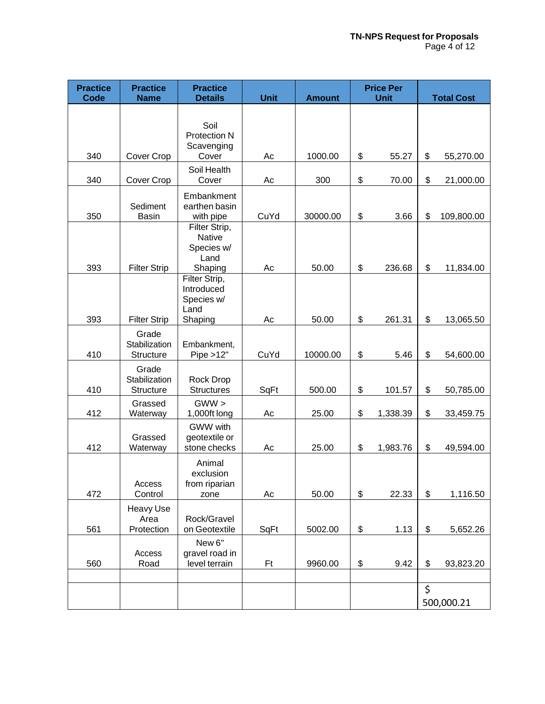| <b>Practice</b><br>Code | <b>Practice</b><br><b>Name</b>      | <b>Practice</b><br><b>Details</b>                               | <b>Unit</b> | <b>Amount</b> | <b>Price Per</b><br><b>Unit</b> | <b>Total Cost</b> |
|-------------------------|-------------------------------------|-----------------------------------------------------------------|-------------|---------------|---------------------------------|-------------------|
|                         |                                     | Soil<br>Protection N<br>Scavenging                              |             |               |                                 |                   |
| 340                     | Cover Crop                          | Cover                                                           | Ac          | 1000.00       | \$<br>55.27                     | \$<br>55,270.00   |
| 340                     | Cover Crop                          | Soil Health<br>Cover                                            | Ac          | 300           | \$<br>70.00                     | \$<br>21,000.00   |
| 350                     | Sediment<br><b>Basin</b>            | Embankment<br>earthen basin<br>with pipe                        | CuYd        | 30000.00      | \$<br>3.66                      | \$<br>109,800.00  |
| 393                     | <b>Filter Strip</b>                 | Filter Strip,<br><b>Native</b><br>Species w/<br>Land<br>Shaping | Ac          | 50.00         | \$<br>236.68                    | \$<br>11,834.00   |
| 393                     | <b>Filter Strip</b>                 | Filter Strip,<br>Introduced<br>Species w/<br>Land<br>Shaping    | Ac          | 50.00         | \$<br>261.31                    | \$<br>13,065.50   |
| 410                     | Grade<br>Stabilization<br>Structure | Embankment,<br>Pipe > 12"                                       | CuYd        | 10000.00      | \$<br>5.46                      | \$<br>54,600.00   |
| 410                     | Grade<br>Stabilization<br>Structure | Rock Drop<br><b>Structures</b>                                  | SqFt        | 500.00        | \$<br>101.57                    | \$<br>50,785.00   |
| 412                     | Grassed<br>Waterway                 | $GWW$ ><br>1,000ft long                                         | Ac          | 25.00         | \$<br>1,338.39                  | \$<br>33,459.75   |
| 412                     | Grassed<br>Waterway                 | GWW with<br>geotextile or<br>stone checks                       | Ac          | 25.00         | \$<br>1,983.76                  | \$<br>49,594.00   |
|                         | Access                              | Animal<br>exclusion<br>from riparian                            |             |               |                                 |                   |
| 472                     | Control<br>Heavy Use                | zone                                                            | Ac          | 50.00         | \$<br>22.33                     | \$<br>1,116.50    |
| 561                     | Area<br>Protection                  | Rock/Gravel<br>on Geotextile                                    | SqFt        | 5002.00       | \$<br>1.13                      | \$<br>5,652.26    |
| 560                     | Access<br>Road                      | New 6"<br>gravel road in<br>level terrain                       | Ft          | 9960.00       | \$<br>9.42                      | \$<br>93,823.20   |
|                         |                                     |                                                                 |             |               |                                 | \$<br>500,000.21  |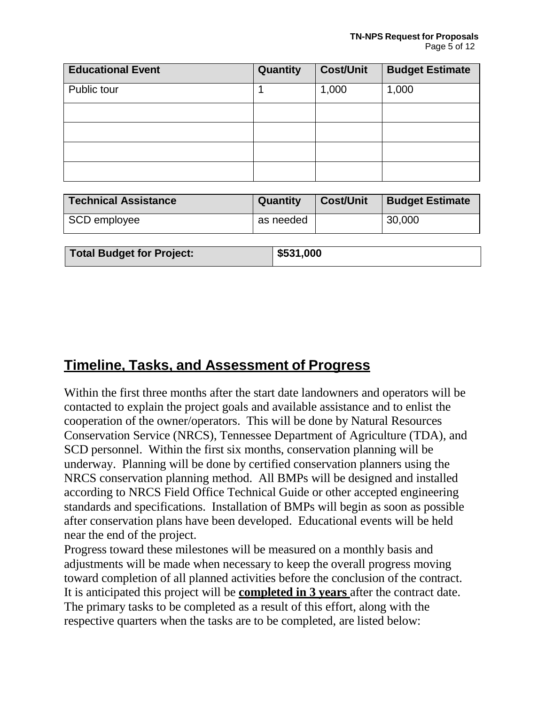| <b>Educational Event</b> | Quantity | <b>Cost/Unit</b> | <b>Budget Estimate</b> |
|--------------------------|----------|------------------|------------------------|
| Public tour              |          | 1,000            | 1,000                  |
|                          |          |                  |                        |
|                          |          |                  |                        |
|                          |          |                  |                        |
|                          |          |                  |                        |

| Technical Assistance             | Quantity  | <b>Cost/Unit</b> | <b>Budget Estimate</b> |
|----------------------------------|-----------|------------------|------------------------|
| SCD employee                     | as needed |                  | 30,000                 |
|                                  |           |                  |                        |
| <b>Total Budget for Project:</b> | \$531,000 |                  |                        |

## **Timeline, Tasks, and Assessment of Progress**

Within the first three months after the start date landowners and operators will be contacted to explain the project goals and available assistance and to enlist the cooperation of the owner/operators. This will be done by Natural Resources Conservation Service (NRCS), Tennessee Department of Agriculture (TDA), and SCD personnel. Within the first six months, conservation planning will be underway. Planning will be done by certified conservation planners using the NRCS conservation planning method. All BMPs will be designed and installed according to NRCS Field Office Technical Guide or other accepted engineering standards and specifications. Installation of BMPs will begin as soon as possible after conservation plans have been developed. Educational events will be held near the end of the project.

Progress toward these milestones will be measured on a monthly basis and adjustments will be made when necessary to keep the overall progress moving toward completion of all planned activities before the conclusion of the contract. It is anticipated this project will be **completed in 3 years** after the contract date. The primary tasks to be completed as a result of this effort, along with the respective quarters when the tasks are to be completed, are listed below: